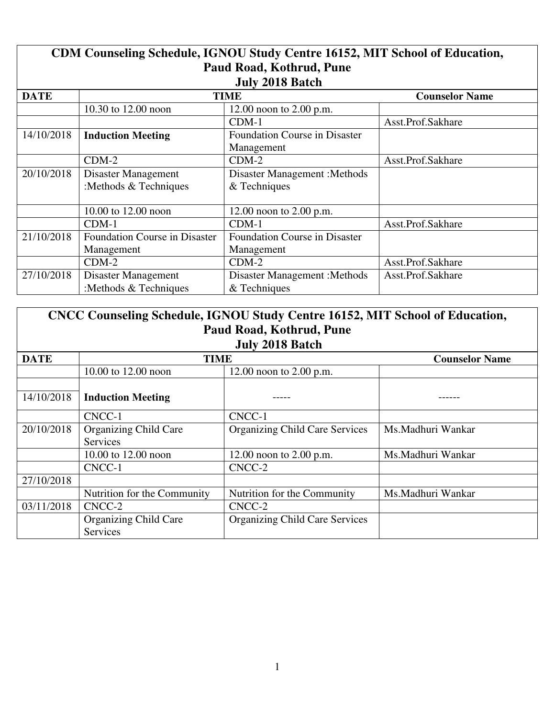| CDM Counseling Schedule, IGNOU Study Centre 16152, MIT School of Education, |                                      |                                      |                       |
|-----------------------------------------------------------------------------|--------------------------------------|--------------------------------------|-----------------------|
| Paud Road, Kothrud, Pune                                                    |                                      |                                      |                       |
|                                                                             |                                      | <b>July 2018 Batch</b>               |                       |
| <b>DATE</b>                                                                 |                                      | <b>TIME</b>                          | <b>Counselor Name</b> |
|                                                                             | 10.30 to 12.00 noon                  | 12.00 noon to $2.00$ p.m.            |                       |
|                                                                             |                                      | $CDM-1$                              | Asst.Prof.Sakhare     |
| 14/10/2018                                                                  | <b>Induction Meeting</b>             | <b>Foundation Course in Disaster</b> |                       |
|                                                                             |                                      | Management                           |                       |
|                                                                             | $CDM-2$                              | $CDM-2$                              | Asst.Prof.Sakhare     |
| 20/10/2018                                                                  | Disaster Management                  | <b>Disaster Management : Methods</b> |                       |
|                                                                             | :Methods & Techniques                | & Techniques                         |                       |
|                                                                             |                                      |                                      |                       |
|                                                                             | 10.00 to 12.00 noon                  | 12.00 noon to $2.00$ p.m.            |                       |
|                                                                             | $CDM-1$                              | $CDM-1$                              | Asst.Prof.Sakhare     |
| 21/10/2018                                                                  | <b>Foundation Course in Disaster</b> | <b>Foundation Course in Disaster</b> |                       |
|                                                                             | Management                           | Management                           |                       |
|                                                                             | $CDM-2$                              | $CDM-2$                              | Asst.Prof.Sakhare     |
| 27/10/2018                                                                  | Disaster Management                  | <b>Disaster Management : Methods</b> | Asst.Prof.Sakhare     |
|                                                                             | :Methods & Techniques                | $&$ Techniques                       |                       |

| CNCC Counseling Schedule, IGNOU Study Centre 16152, MIT School of Education,<br>Paud Road, Kothrud, Pune<br>July 2018 Batch |                                                 |                                       |                       |
|-----------------------------------------------------------------------------------------------------------------------------|-------------------------------------------------|---------------------------------------|-----------------------|
| <b>DATE</b>                                                                                                                 | <b>TIME</b>                                     |                                       | <b>Counselor Name</b> |
|                                                                                                                             | 10.00 to 12.00 noon                             | 12.00 noon to $2.00$ p.m.             |                       |
| 14/10/2018                                                                                                                  | <b>Induction Meeting</b>                        |                                       |                       |
|                                                                                                                             | CNCC-1                                          | CNCC-1                                |                       |
| 20/10/2018                                                                                                                  | <b>Organizing Child Care</b><br><b>Services</b> | <b>Organizing Child Care Services</b> | Ms.Madhuri Wankar     |
|                                                                                                                             | 10.00 to 12.00 noon                             | 12.00 noon to $2.00$ p.m.             | Ms.Madhuri Wankar     |
|                                                                                                                             | CNCC-1                                          | CNCC-2                                |                       |
| 27/10/2018                                                                                                                  |                                                 |                                       |                       |
|                                                                                                                             | Nutrition for the Community                     | Nutrition for the Community           | Ms.Madhuri Wankar     |
| 03/11/2018                                                                                                                  | CNCC-2                                          | CNCC-2                                |                       |
|                                                                                                                             | <b>Organizing Child Care</b><br>Services        | <b>Organizing Child Care Services</b> |                       |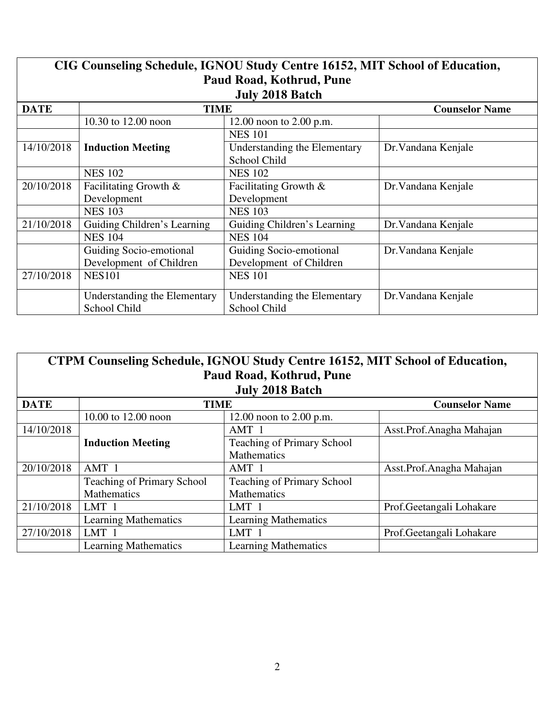| CIG Counseling Schedule, IGNOU Study Centre 16152, MIT School of Education,<br>Paud Road, Kothrud, Pune |                              |                              |                       |  |
|---------------------------------------------------------------------------------------------------------|------------------------------|------------------------------|-----------------------|--|
| <b>July 2018 Batch</b>                                                                                  |                              |                              |                       |  |
| <b>DATE</b>                                                                                             | <b>TIME</b>                  |                              | <b>Counselor Name</b> |  |
|                                                                                                         | 10.30 to 12.00 noon          | 12.00 noon to $2.00$ p.m.    |                       |  |
|                                                                                                         |                              | <b>NES 101</b>               |                       |  |
| 14/10/2018                                                                                              | <b>Induction Meeting</b>     | Understanding the Elementary | Dr. Vandana Kenjale   |  |
|                                                                                                         |                              | School Child                 |                       |  |
|                                                                                                         | <b>NES 102</b>               | <b>NES 102</b>               |                       |  |
| 20/10/2018                                                                                              | Facilitating Growth &        | Facilitating Growth &        | Dr. Vandana Kenjale   |  |
|                                                                                                         | Development                  | Development                  |                       |  |
|                                                                                                         | <b>NES 103</b>               | <b>NES 103</b>               |                       |  |
| 21/10/2018                                                                                              | Guiding Children's Learning  | Guiding Children's Learning  | Dr. Vandana Kenjale   |  |
|                                                                                                         | <b>NES 104</b>               | <b>NES 104</b>               |                       |  |
|                                                                                                         | Guiding Socio-emotional      | Guiding Socio-emotional      | Dr. Vandana Kenjale   |  |
|                                                                                                         | Development of Children      | Development of Children      |                       |  |
| 27/10/2018                                                                                              | <b>NES101</b>                | <b>NES 101</b>               |                       |  |
|                                                                                                         | Understanding the Elementary | Understanding the Elementary | Dr. Vandana Kenjale   |  |
|                                                                                                         | <b>School Child</b>          | School Child                 |                       |  |

| CTPM Counseling Schedule, IGNOU Study Centre 16152, MIT School of Education,<br>Paud Road, Kothrud, Pune |                                   |                                   |                           |  |
|----------------------------------------------------------------------------------------------------------|-----------------------------------|-----------------------------------|---------------------------|--|
| <b>July 2018 Batch</b>                                                                                   |                                   |                                   |                           |  |
| <b>DATE</b>                                                                                              | <b>TIME</b>                       |                                   | <b>Counselor Name</b>     |  |
|                                                                                                          | 10.00 to 12.00 noon               | 12.00 noon to $2.00$ p.m.         |                           |  |
| 14/10/2018                                                                                               |                                   | AMT 1                             | Asst.Prof.Anagha Mahajan  |  |
|                                                                                                          | <b>Induction Meeting</b>          | <b>Teaching of Primary School</b> |                           |  |
|                                                                                                          |                                   | <b>Mathematics</b>                |                           |  |
| 20/10/2018                                                                                               | AMT 1                             | AMT 1                             | Asst.Prof.Anagha Mahajan  |  |
|                                                                                                          | <b>Teaching of Primary School</b> | <b>Teaching of Primary School</b> |                           |  |
|                                                                                                          | <b>Mathematics</b>                | <b>Mathematics</b>                |                           |  |
| 21/10/2018                                                                                               | LMT 1                             | LMT <sub>1</sub>                  | Prof.Geetangali Lohakare  |  |
|                                                                                                          | <b>Learning Mathematics</b>       | <b>Learning Mathematics</b>       |                           |  |
| 27/10/2018                                                                                               | LMT <sub>1</sub>                  | LMT 1                             | Prof. Geetangali Lohakare |  |
|                                                                                                          | <b>Learning Mathematics</b>       | <b>Learning Mathematics</b>       |                           |  |